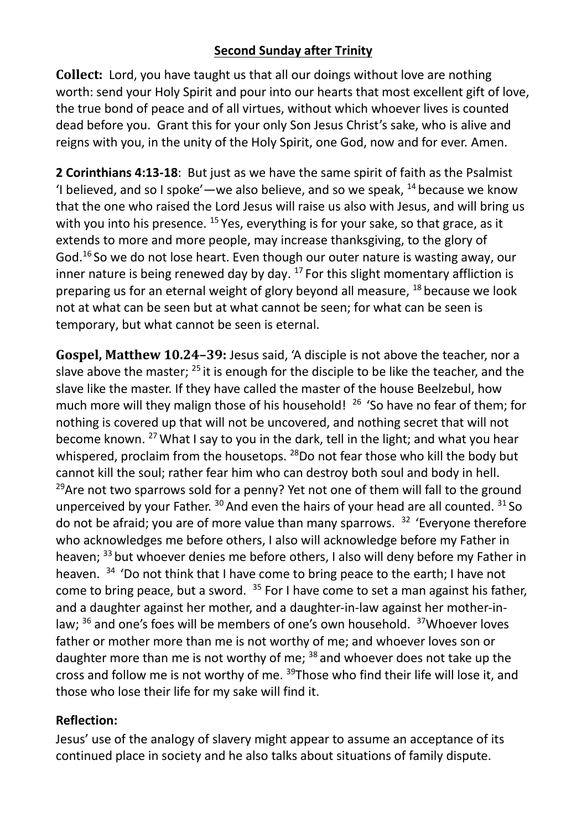## **Second Sunday after Trinity**

**Collect:** Lord, you have taught us that all our doings without love are nothing worth: send your Holy Spirit and pour into our hearts that most excellent gift of love, the true bond of peace and of all virtues, without which whoever lives is counted dead before you. Grant this for your only Son Jesus Christ's sake, who is alive and reigns with you, in the unity of the Holy Spirit, one God, now and for ever. Amen.

**2 Corinthians 4:13-18**: But just as we have the same spirit of faith as the Psalmist 'I believed, and so I spoke'—we also believe, and so we speak,  $^{14}$  because we know that the one who raised the Lord Jesus will raise us also with Jesus, and will bring us with you into his presence. <sup>15</sup> Yes, everything is for your sake, so that grace, as it extends to more and more people, may increase thanksgiving, to the glory of God.<sup>16</sup> So we do not lose heart. Even though our outer nature is wasting away, our inner nature is being renewed day by day.  $17$  For this slight momentary affliction is preparing us for an eternal weight of glory beyond all measure, <sup>18</sup> because we look not at what can be seen but at what cannot be seen; for what can be seen is temporary, but what cannot be seen is eternal.

**Gospel, Matthew 10.24–39:** Jesus said, 'A disciple is not above the teacher, nor a slave above the master;  $^{25}$  it is enough for the disciple to be like the teacher, and the slave like the master. If they have called the master of the house Beelzebul, how much more will they malign those of his household!  $26$  'So have no fear of them; for nothing is covered up that will not be uncovered, and nothing secret that will not become known. <sup>27</sup> What I say to you in the dark, tell in the light; and what you hear whispered, proclaim from the housetops. <sup>28</sup>Do not fear those who kill the body but cannot kill the soul; rather fear him who can destroy both soul and body in hell.  $29$ Are not two sparrows sold for a penny? Yet not one of them will fall to the ground unperceived by your Father.  $30$  And even the hairs of your head are all counted.  $31$  So do not be afraid; you are of more value than many sparrows.  $32$  'Everyone therefore who acknowledges me before others, I also will acknowledge before my Father in heaven; <sup>33</sup> but whoever denies me before others, I also will deny before my Father in heaven. <sup>34</sup> 'Do not think that I have come to bring peace to the earth; I have not come to bring peace, but a sword.  $35$  For I have come to set a man against his father, and a daughter against her mother, and a daughter-in-law against her mother-inlaw; <sup>36</sup> and one's foes will be members of one's own household. <sup>37</sup>Whoever loves father or mother more than me is not worthy of me; and whoever loves son or daughter more than me is not worthy of me;  $38$  and whoever does not take up the cross and follow me is not worthy of me. <sup>39</sup>Those who find their life will lose it, and those who lose their life for my sake will find it.

## **Reflection:**

Jesus' use of the analogy of slavery might appear to assume an acceptance of its continued place in society and he also talks about situations of family dispute.